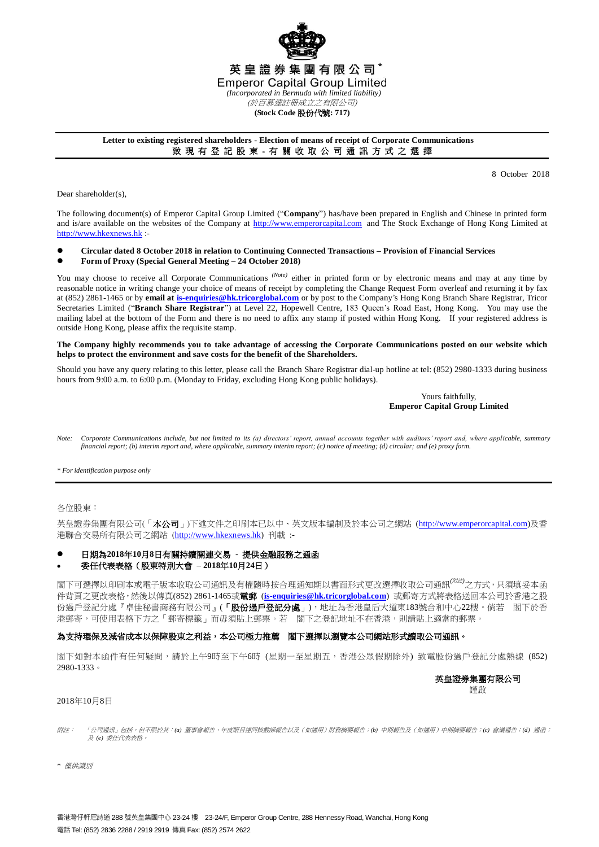

### **Letter to existing registered shareholders - Election of means of receipt of Corporate Communications** 致 現 有 登 記 股 東 - 有 關 收 取 公 司 通 訊 方 式 之 選 擇

8 October 2018

Dear shareholder(s),

The following document(s) of Emperor Capital Group Limited ("**Company**") has/have been prepared in English and Chinese in printed form and is/are available on the websites of the Company at [http://www.emperorcapital.com](http://www.emperorcapital.com/) and The Stock Exchange of Hong Kong Limited at [http://www.hkexnews.hk](http://www.hkexnews.hk/) :-

#### **Circular dated 8 October 2018 in relation to Continuing Connected Transactions – Provision of Financial Services Form of Proxy (Special General Meeting – 24 October 2018)**

You may choose to receive all Corporate Communications <sup>(Note)</sup> either in printed form or by electronic means and may at any time by reasonable notice in writing change your choice of means of receipt by completing the Change Request Form overleaf and returning it by fax at (852) 2861-1465 or by **email a[t is-enquiries@hk.tricorglobal.com](mailto:is-enquiries@hk.tricorglobal.com)** or by post to the Company's Hong Kong Branch Share Registrar, Tricor Secretaries Limited ("**Branch Share Registrar**") at Level 22, Hopewell Centre, 183 Queen's Road East, Hong Kong. You may use the mailing label at the bottom of the Form and there is no need to affix any stamp if posted within Hong Kong. If your registered address is outside Hong Kong, please affix the requisite stamp.

#### **The Company highly recommends you to take advantage of accessing the Corporate Communications posted on our website which helps to protect the environment and save costs for the benefit of the Shareholders.**

Should you have any query relating to this letter, please call the Branch Share Registrar dial-up hotline at tel: (852) 2980-1333 during business hours from 9:00 a.m. to 6:00 p.m. (Monday to Friday, excluding Hong Kong public holidays).

> Yours faithfully, **Emperor Capital Group Limited**

*Note: Corporate Communications include, but not limited to its (a) directors' report, annual accounts together with auditors' report and, where applicable, summary financial report; (b) interim report and, where applicable, summary interim report; (c) notice of meeting; (d) circular; and (e) proxy form.*

*\* For identification purpose only*

各位股東:

英皇證券集團有限公司(「本公司」)下述文件之印刷本已以中、英文版本編制及於本公司之網站 (http://www.emperorcapital.com)及香 港聯合交易所有限公司之網站 ([http://www.hkexnews.hk\)](http://www.hkex.news.hk/) 刊載 :-

## 日期為**2018**年**10**月**8**日有關持續關連交易 **-** 提供金融服務之通函

### 委任代表表格(股東特別大會 **– 2018**年**10**月**24**日)

閣下可選擇以印刷本或電子版本收取公司通訊及有權隨時按合理通知期以書面形式更改選擇收取公司通訊*(*附註*)*之方式,只須填妥本函 件背頁之更改表格,然後以傳真(852) 2861-1465或電郵 (**[is-enquiries@hk.tricorglobal.com](mailto:is-enquiries@hk.tricorglobal.com)**) 或郵寄方式將表格送回本公司於香港之股 份過戶登記分處『卓佳秘書商務有限公司』(「股份過戶登記分處」),地址為香港皇后大道東183號合和中心22樓。倘若 閣下於香 港郵寄,可使用表格下方之「郵寄標籤」而毋須貼上郵票。若 閣下之登記地址不在香港,則請貼上適當的郵票。

# 為支持環保及減省成本以保障股東之利益,本公司極力推薦 閣下選擇以瀏覽本公司網站形式讀取公司通訊。

閣下如對本函件有任何疑問,請於上午9時至下午6時 (星期一至星期五,香港公眾假期除外) 致電股份過戶登記分處熱線 (852) 2980-1333。

英皇證券集團有限公司

謹啟

#### 2018年10月8日

- 附註: 「「公司通訊」包括,但不限於其:*(a)* 董事會報告、年度賬目連同核數師報告以及(如適用)財務摘要報告;*(b)* 中期報告及(如適用)中期摘要報告;*(c)* 會議通告;*(d)* 通函; 及 及 *(e)* 委任代表表格。
- *\** 僅供識別